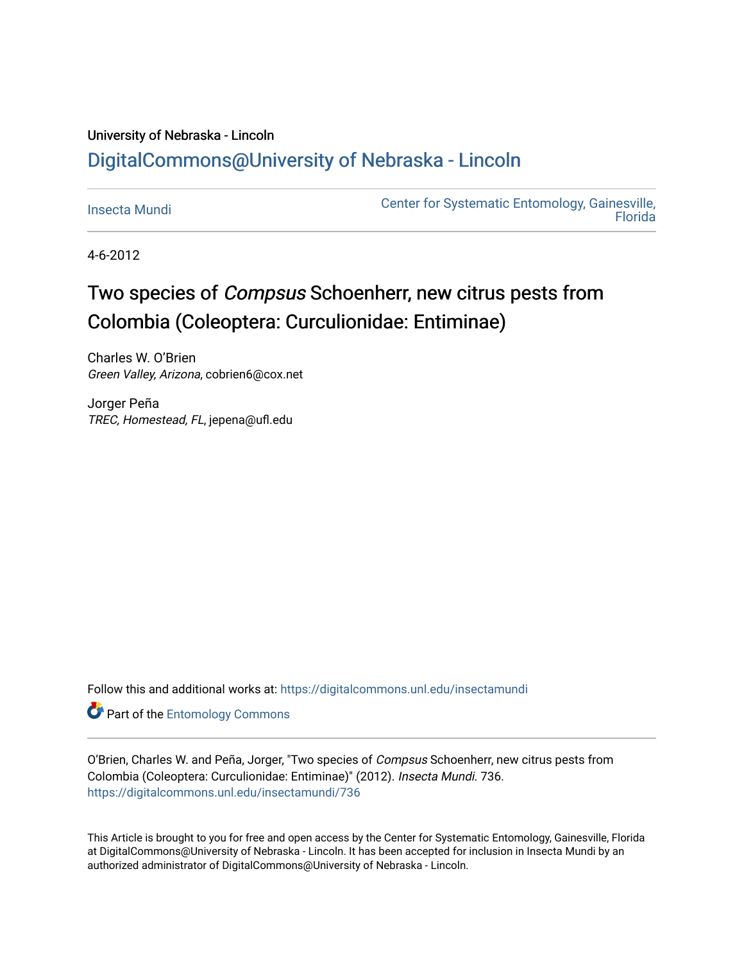## University of Nebraska - Lincoln [DigitalCommons@University of Nebraska - Lincoln](https://digitalcommons.unl.edu/)

[Insecta Mundi](https://digitalcommons.unl.edu/insectamundi) [Center for Systematic Entomology, Gainesville,](https://digitalcommons.unl.edu/centersystematicentomology)  **Florida** 

4-6-2012

# Two species of *Compsus* Schoenherr, new citrus pests from Colombia (Coleoptera: Curculionidae: Entiminae)

Charles W. O'Brien Green Valley, Arizona, cobrien6@cox.net

Jorger Peña TREC, Homestead, FL, jepena@ufl.edu

Follow this and additional works at: [https://digitalcommons.unl.edu/insectamundi](https://digitalcommons.unl.edu/insectamundi?utm_source=digitalcommons.unl.edu%2Finsectamundi%2F736&utm_medium=PDF&utm_campaign=PDFCoverPages) 

**Part of the Entomology Commons** 

O'Brien, Charles W. and Peña, Jorger, "Two species of Compsus Schoenherr, new citrus pests from Colombia (Coleoptera: Curculionidae: Entiminae)" (2012). Insecta Mundi. 736. [https://digitalcommons.unl.edu/insectamundi/736](https://digitalcommons.unl.edu/insectamundi/736?utm_source=digitalcommons.unl.edu%2Finsectamundi%2F736&utm_medium=PDF&utm_campaign=PDFCoverPages) 

This Article is brought to you for free and open access by the Center for Systematic Entomology, Gainesville, Florida at DigitalCommons@University of Nebraska - Lincoln. It has been accepted for inclusion in Insecta Mundi by an authorized administrator of DigitalCommons@University of Nebraska - Lincoln.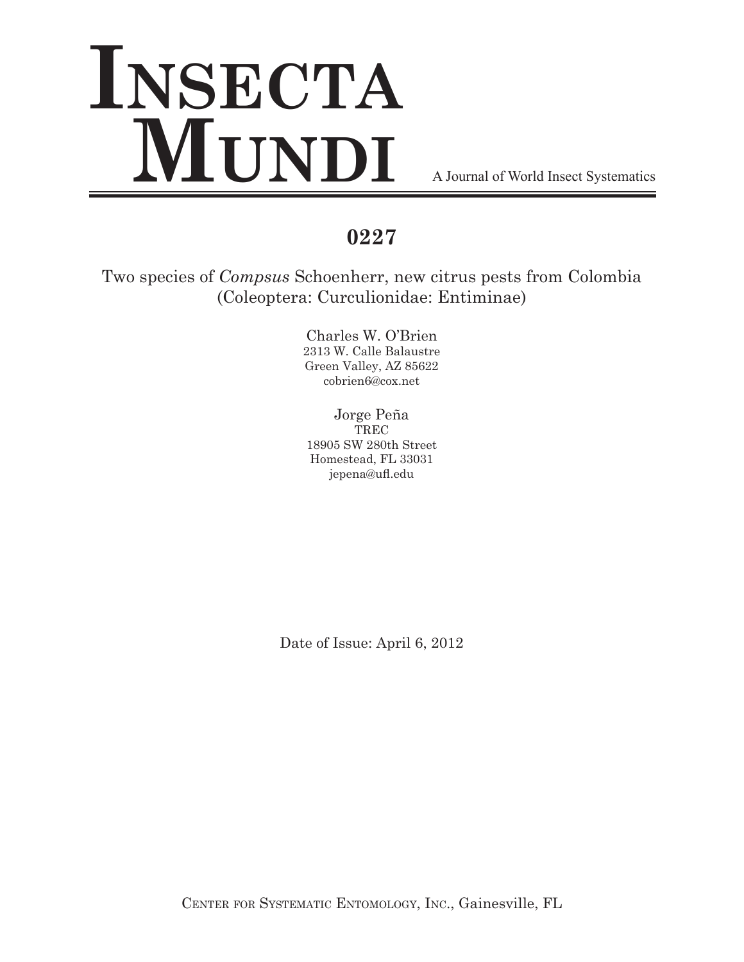# **Insecta MUNDI** A Journal of World Insect Systematics

## **0227**

Two species of *Compsus* Schoenherr, new citrus pests from Colombia (Coleoptera: Curculionidae: Entiminae)

> Charles W. O'Brien 2313 W. Calle Balaustre Green Valley, AZ 85622 cobrien6@cox.net

Jorge Peña **TREC** 18905 SW 280th Street Homestead, FL 33031 jepena@ufl.edu

Date of Issue: April 6, 2012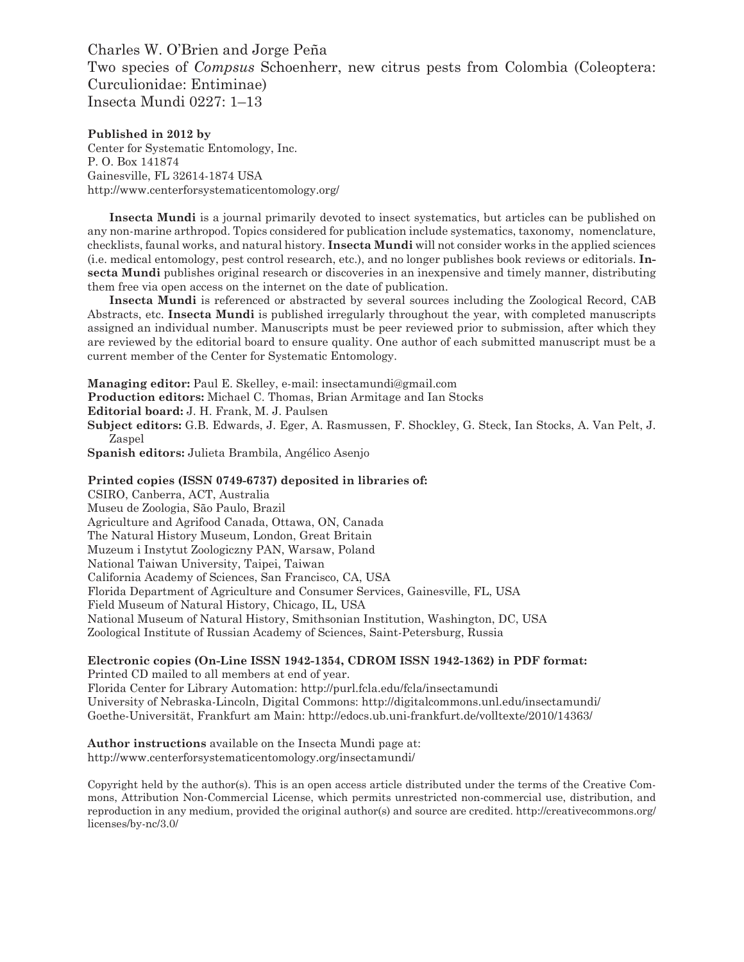Charles W. O'Brien and Jorge Peña Two species of *Compsus* Schoenherr, new citrus pests from Colombia (Coleoptera: Curculionidae: Entiminae) Insecta Mundi 0227: 1–13

**Published in 2012 by** Center for Systematic Entomology, Inc. P. O. Box 141874 Gainesville, FL 32614-1874 USA http://www.centerforsystematicentomology.org/

**Insecta Mundi** is a journal primarily devoted to insect systematics, but articles can be published on any non-marine arthropod. Topics considered for publication include systematics, taxonomy, nomenclature, checklists, faunal works, and natural history. **Insecta Mundi** will not consider works in the applied sciences (i.e. medical entomology, pest control research, etc.), and no longer publishes book reviews or editorials. **Insecta Mundi** publishes original research or discoveries in an inexpensive and timely manner, distributing them free via open access on the internet on the date of publication.

**Insecta Mundi** is referenced or abstracted by several sources including the Zoological Record, CAB Abstracts, etc. **Insecta Mundi** is published irregularly throughout the year, with completed manuscripts assigned an individual number. Manuscripts must be peer reviewed prior to submission, after which they are reviewed by the editorial board to ensure quality. One author of each submitted manuscript must be a current member of the Center for Systematic Entomology.

**Managing editor:** Paul E. Skelley, e-mail: insectamundi@gmail.com

**Production editors:** Michael C. Thomas, Brian Armitage and Ian Stocks

**Editorial board:** J. H. Frank, M. J. Paulsen

**Subject editors:** G.B. Edwards, J. Eger, A. Rasmussen, F. Shockley, G. Steck, Ian Stocks, A. Van Pelt, J. Zaspel

**Spanish editors:** Julieta Brambila, Angélico Asenjo

**Printed copies (ISSN 0749-6737) deposited in libraries of:** CSIRO, Canberra, ACT, Australia

Museu de Zoologia, São Paulo, Brazil Agriculture and Agrifood Canada, Ottawa, ON, Canada The Natural History Museum, London, Great Britain Muzeum i Instytut Zoologiczny PAN, Warsaw, Poland National Taiwan University, Taipei, Taiwan California Academy of Sciences, San Francisco, CA, USA Florida Department of Agriculture and Consumer Services, Gainesville, FL, USA Field Museum of Natural History, Chicago, IL, USA National Museum of Natural History, Smithsonian Institution, Washington, DC, USA Zoological Institute of Russian Academy of Sciences, Saint-Petersburg, Russia

#### **Electronic copies (On-Line ISSN 1942-1354, CDROM ISSN 1942-1362) in PDF format:**

Printed CD mailed to all members at end of year. Florida Center for Library Automation: http://purl.fcla.edu/fcla/insectamundi University of Nebraska-Lincoln, Digital Commons: http://digitalcommons.unl.edu/insectamundi/ Goethe-Universität, Frankfurt am Main: http://edocs.ub.uni-frankfurt.de/volltexte/2010/14363/

**Author instructions** available on the Insecta Mundi page at: http://www.centerforsystematicentomology.org/insectamundi/

Copyright held by the author(s). This is an open access article distributed under the terms of the Creative Commons, Attribution Non-Commercial License, which permits unrestricted non-commercial use, distribution, and reproduction in any medium, provided the original author(s) and source are credited. http://creativecommons.org/ licenses/by-nc/3.0/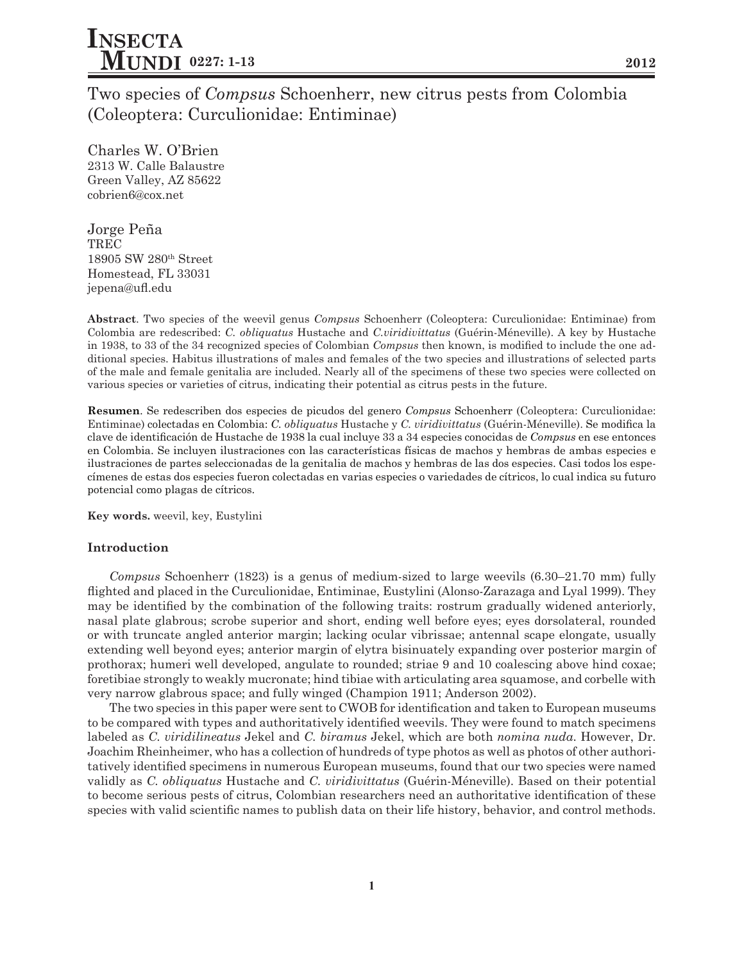Two species of *Compsus* Schoenherr, new citrus pests from Colombia (Coleoptera: Curculionidae: Entiminae)

Charles W. O'Brien 2313 W. Calle Balaustre Green Valley, AZ 85622 cobrien6@cox.net

Jorge Peña TREC 18905 SW 280th Street Homestead, FL 33031 jepena@ufl.edu

**Abstract**. Two species of the weevil genus *Compsus* Schoenherr (Coleoptera: Curculionidae: Entiminae) from Colombia are redescribed: *C. obliquatus* Hustache and *C.viridivittatus* (Guérin-Méneville). A key by Hustache in 1938, to 33 of the 34 recognized species of Colombian *Compsus* then known, is modified to include the one additional species. Habitus illustrations of males and females of the two species and illustrations of selected parts of the male and female genitalia are included. Nearly all of the specimens of these two species were collected on various species or varieties of citrus, indicating their potential as citrus pests in the future.

**Resumen**. Se redescriben dos especies de picudos del genero *Compsus* Schoenherr (Coleoptera: Curculionidae: Entiminae) colectadas en Colombia: *C. obliquatus* Hustache y *C. viridivittatus* (Guérin-Méneville). Se modifica la clave de identificación de Hustache de 1938 la cual incluye 33 a 34 especies conocidas de *Compsus* en ese entonces en Colombia. Se incluyen ilustraciones con las características físicas de machos y hembras de ambas especies e ilustraciones de partes seleccionadas de la genitalia de machos y hembras de las dos especies. Casi todos los especímenes de estas dos especies fueron colectadas en varias especies o variedades de cítricos, lo cual indica su futuro potencial como plagas de cítricos.

**Key words.** weevil, key, Eustylini

#### **Introduction**

*Compsus* Schoenherr (1823) is a genus of medium-sized to large weevils (6.30–21.70 mm) fully flighted and placed in the Curculionidae, Entiminae, Eustylini (Alonso-Zarazaga and Lyal 1999). They may be identified by the combination of the following traits: rostrum gradually widened anteriorly, nasal plate glabrous; scrobe superior and short, ending well before eyes; eyes dorsolateral, rounded or with truncate angled anterior margin; lacking ocular vibrissae; antennal scape elongate, usually extending well beyond eyes; anterior margin of elytra bisinuately expanding over posterior margin of prothorax; humeri well developed, angulate to rounded; striae 9 and 10 coalescing above hind coxae; foretibiae strongly to weakly mucronate; hind tibiae with articulating area squamose, and corbelle with very narrow glabrous space; and fully winged (Champion 1911; Anderson 2002).

The two species in this paper were sent to CWOB for identification and taken to European museums to be compared with types and authoritatively identified weevils. They were found to match specimens labeled as *C. viridilineatus* Jekel and *C. biramus* Jekel, which are both *nomina nuda*. However, Dr. Joachim Rheinheimer, who has a collection of hundreds of type photos as well as photos of other authoritatively identified specimens in numerous European museums, found that our two species were named validly as *C. obliquatus* Hustache and *C. viridivittatus* (Guérin-Méneville). Based on their potential to become serious pests of citrus, Colombian researchers need an authoritative identification of these species with valid scientific names to publish data on their life history, behavior, and control methods.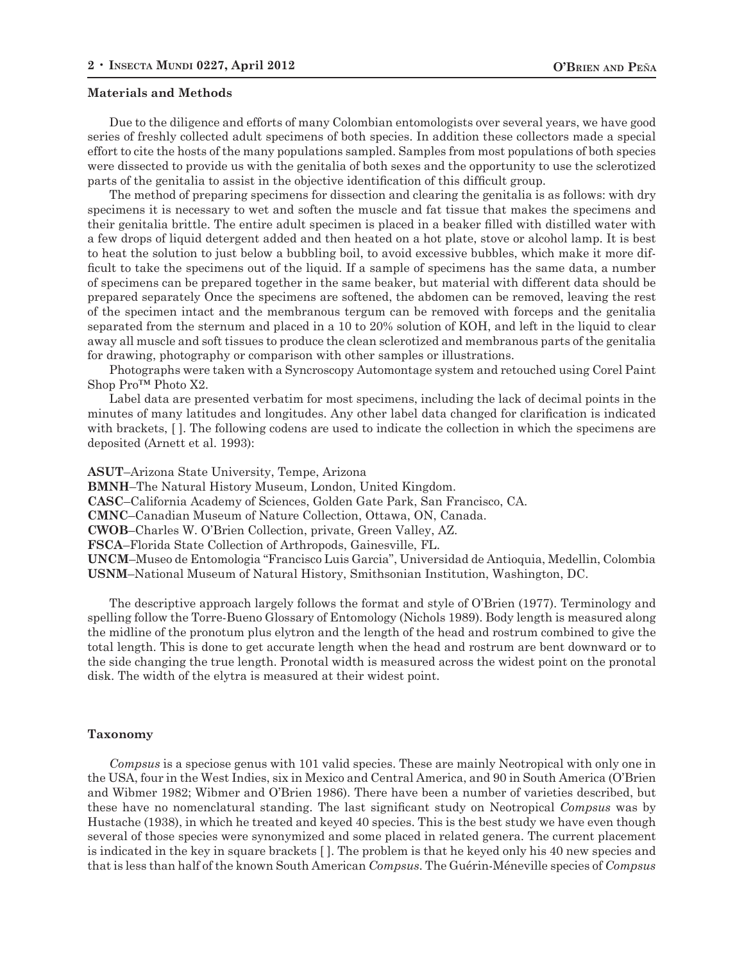#### **Materials and Methods**

Due to the diligence and efforts of many Colombian entomologists over several years, we have good series of freshly collected adult specimens of both species. In addition these collectors made a special effort to cite the hosts of the many populations sampled. Samples from most populations of both species were dissected to provide us with the genitalia of both sexes and the opportunity to use the sclerotized parts of the genitalia to assist in the objective identification of this difficult group.

The method of preparing specimens for dissection and clearing the genitalia is as follows: with dry specimens it is necessary to wet and soften the muscle and fat tissue that makes the specimens and their genitalia brittle. The entire adult specimen is placed in a beaker filled with distilled water with a few drops of liquid detergent added and then heated on a hot plate, stove or alcohol lamp. It is best to heat the solution to just below a bubbling boil, to avoid excessive bubbles, which make it more difficult to take the specimens out of the liquid. If a sample of specimens has the same data, a number of specimens can be prepared together in the same beaker, but material with different data should be prepared separately Once the specimens are softened, the abdomen can be removed, leaving the rest of the specimen intact and the membranous tergum can be removed with forceps and the genitalia separated from the sternum and placed in a 10 to 20% solution of KOH, and left in the liquid to clear away all muscle and soft tissues to produce the clean sclerotized and membranous parts of the genitalia for drawing, photography or comparison with other samples or illustrations.

Photographs were taken with a Syncroscopy Automontage system and retouched using Corel Paint Shop Pro™ Photo X2.

Label data are presented verbatim for most specimens, including the lack of decimal points in the minutes of many latitudes and longitudes. Any other label data changed for clarification is indicated with brackets, []. The following codens are used to indicate the collection in which the specimens are deposited (Arnett et al. 1993):

**ASUT**–Arizona State University, Tempe, Arizona

**BMNH**–The Natural History Museum, London, United Kingdom.

**CASC**–California Academy of Sciences, Golden Gate Park, San Francisco, CA.

**CMNC**–Canadian Museum of Nature Collection, Ottawa, ON, Canada.

**CWOB**–Charles W. O'Brien Collection, private, Green Valley, AZ.

**FSCA**–Florida State Collection of Arthropods, Gainesville, FL.

**UNCM**–Museo de Entomologia "Francisco Luis Garcia", Universidad de Antioquia, Medellin, Colombia **USNM**–National Museum of Natural History, Smithsonian Institution, Washington, DC.

The descriptive approach largely follows the format and style of O'Brien (1977). Terminology and spelling follow the Torre-Bueno Glossary of Entomology (Nichols 1989). Body length is measured along the midline of the pronotum plus elytron and the length of the head and rostrum combined to give the total length. This is done to get accurate length when the head and rostrum are bent downward or to the side changing the true length. Pronotal width is measured across the widest point on the pronotal disk. The width of the elytra is measured at their widest point.

#### **Taxonomy**

*Compsus* is a speciose genus with 101 valid species. These are mainly Neotropical with only one in the USA, four in the West Indies, six in Mexico and Central America, and 90 in South America (O'Brien and Wibmer 1982; Wibmer and O'Brien 1986). There have been a number of varieties described, but these have no nomenclatural standing. The last significant study on Neotropical *Compsus* was by Hustache (1938), in which he treated and keyed 40 species. This is the best study we have even though several of those species were synonymized and some placed in related genera. The current placement is indicated in the key in square brackets [ ]. The problem is that he keyed only his 40 new species and that is less than half of the known South American *Compsus*. The Guérin-Méneville species of *Compsus*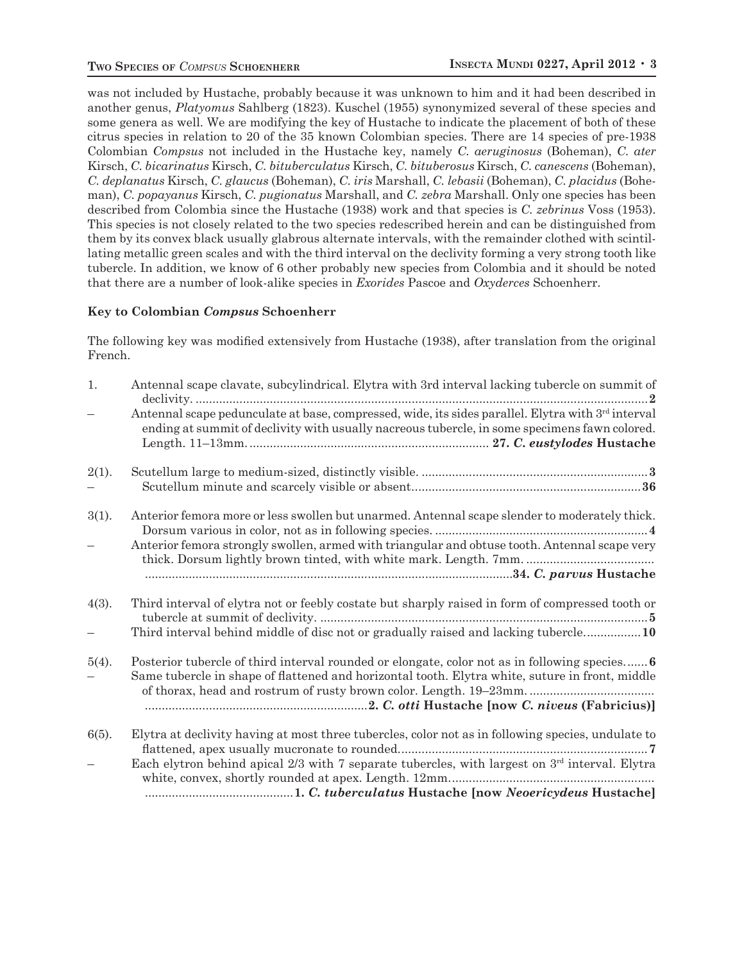was not included by Hustache, probably because it was unknown to him and it had been described in another genus, *Platyomus* Sahlberg (1823). Kuschel (1955) synonymized several of these species and some genera as well. We are modifying the key of Hustache to indicate the placement of both of these citrus species in relation to 20 of the 35 known Colombian species. There are 14 species of pre-1938 Colombian *Compsus* not included in the Hustache key, namely *C. aeruginosus* (Boheman), *C. ater* Kirsch, *C. bicarinatus* Kirsch, *C. bituberculatus* Kirsch, *C. bituberosus* Kirsch, *C. canescens* (Boheman), *C. deplanatus* Kirsch, *C. glaucus* (Boheman), *C. iris* Marshall, *C. lebasii* (Boheman), *C. placidus* (Boheman), *C. popayanus* Kirsch, *C. pugionatus* Marshall, and *C. zebra* Marshall. Only one species has been described from Colombia since the Hustache (1938) work and that species is *C. zebrinus* Voss (1953). This species is not closely related to the two species redescribed herein and can be distinguished from them by its convex black usually glabrous alternate intervals, with the remainder clothed with scintillating metallic green scales and with the third interval on the declivity forming a very strong tooth like tubercle. In addition, we know of 6 other probably new species from Colombia and it should be noted that there are a number of look-alike species in *Exorides* Pascoe and *Oxyderces* Schoenherr.

#### **Key to Colombian** *Compsus* **Schoenherr**

The following key was modified extensively from Hustache (1938), after translation from the original French.

| 1.                       | Antennal scape clavate, subcylindrical. Elytra with 3rd interval lacking tubercle on summit of                                                                                                                  |
|--------------------------|-----------------------------------------------------------------------------------------------------------------------------------------------------------------------------------------------------------------|
| $\overline{\phantom{m}}$ | Antennal scape pedunculate at base, compressed, wide, its sides parallel. Elytra with 3 <sup>rd</sup> interval<br>ending at summit of declivity with usually nacreous tubercle, in some specimens fawn colored. |
| 2(1).                    |                                                                                                                                                                                                                 |
| $3(1)$ .                 | Anterior femora more or less swollen but unarmed. Antennal scape slender to moderately thick.                                                                                                                   |
|                          | Anterior femora strongly swollen, armed with triangular and obtuse tooth. Antennal scape very                                                                                                                   |
|                          |                                                                                                                                                                                                                 |
| 4(3).                    | Third interval of elytra not or feebly costate but sharply raised in form of compressed tooth or                                                                                                                |
| $\overline{\phantom{m}}$ | Third interval behind middle of disc not or gradually raised and lacking tubercle10                                                                                                                             |
| $5(4)$ .                 | Posterior tubercle of third interval rounded or elongate, color not as in following species 6<br>Same tubercle in shape of flattened and horizontal tooth. Elytra white, suture in front, middle                |
|                          |                                                                                                                                                                                                                 |
| $6(5)$ .                 | Elytra at declivity having at most three tubercles, color not as in following species, undulate to                                                                                                              |
| $\equiv$                 | Each elytron behind apical $2/3$ with 7 separate tubercles, with largest on $3rd$ interval. Elytra                                                                                                              |
|                          |                                                                                                                                                                                                                 |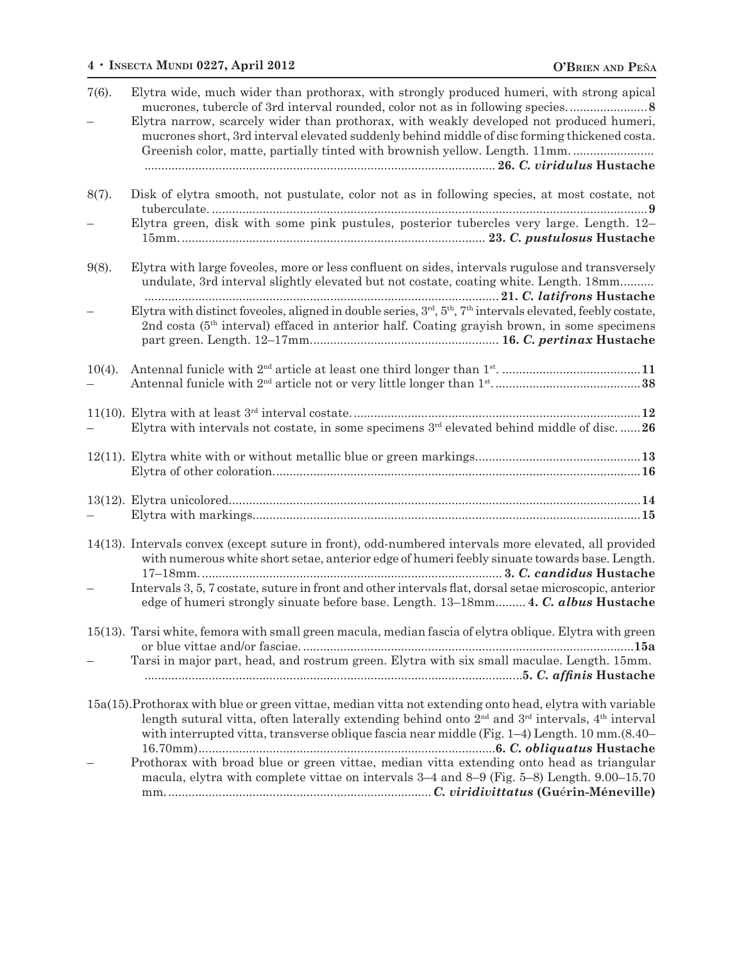### **4** • **Insecta Mundi 0227, April 2012 O'Brien and Pe**Ñ**<sup>a</sup>**

| $7(6)$ .  | Elytra wide, much wider than prothorax, with strongly produced humeri, with strong apical<br>Elytra narrow, scarcely wider than prothorax, with weakly developed not produced humeri,<br>mucrones short, 3rd interval elevated suddenly behind middle of disc forming thickened costa.<br>Greenish color, matte, partially tinted with brownish yellow. Length. 11mm |
|-----------|----------------------------------------------------------------------------------------------------------------------------------------------------------------------------------------------------------------------------------------------------------------------------------------------------------------------------------------------------------------------|
| 8(7).     | Disk of elytra smooth, not pustulate, color not as in following species, at most costate, not<br>Elytra green, disk with some pink pustules, posterior tubercles very large. Length. 12-                                                                                                                                                                             |
|           |                                                                                                                                                                                                                                                                                                                                                                      |
| $9(8)$ .  | Elytra with large foveoles, more or less confluent on sides, intervals rugulose and transversely<br>undulate, 3rd interval slightly elevated but not costate, coating white. Length. 18mm                                                                                                                                                                            |
|           | Elytra with distinct foveoles, aligned in double series, 3rd, 5 <sup>th</sup> , 7 <sup>th</sup> intervals elevated, feebly costate,<br>2nd costa $(5th$ interval) effaced in anterior half. Coating grayish brown, in some specimens                                                                                                                                 |
| $10(4)$ . |                                                                                                                                                                                                                                                                                                                                                                      |
|           | Elytra with intervals not costate, in some specimens $3^{rd}$ elevated behind middle of disc26                                                                                                                                                                                                                                                                       |
|           |                                                                                                                                                                                                                                                                                                                                                                      |
|           |                                                                                                                                                                                                                                                                                                                                                                      |
|           |                                                                                                                                                                                                                                                                                                                                                                      |
|           | 14(13). Intervals convex (except suture in front), odd-numbered intervals more elevated, all provided<br>with numerous white short setae, anterior edge of humeri feebly sinuate towards base. Length.                                                                                                                                                               |
|           | Intervals 3, 5, 7 costate, suture in front and other intervals flat, dorsal setae microscopic, anterior<br>edge of humeri strongly sinuate before base. Length. 13–18mm 4. C. albus Hustache                                                                                                                                                                         |
|           | 15(13). Tarsi white, femora with small green macula, median fascia of elytra oblique. Elytra with green                                                                                                                                                                                                                                                              |
|           | Tarsi in major part, head, and rostrum green. Elytra with six small maculae. Length. 15mm.                                                                                                                                                                                                                                                                           |
|           | 15a(15). Prothorax with blue or green vittae, median vitta not extending onto head, elytra with variable<br>length sutural vitta, often laterally extending behind onto $2nd$ and $3rd$ intervals, $4th$ interval<br>with interrupted vitta, transverse oblique fascia near middle (Fig. $1-4$ ) Length. $10 \text{ mm}$ . $(8.40-$                                  |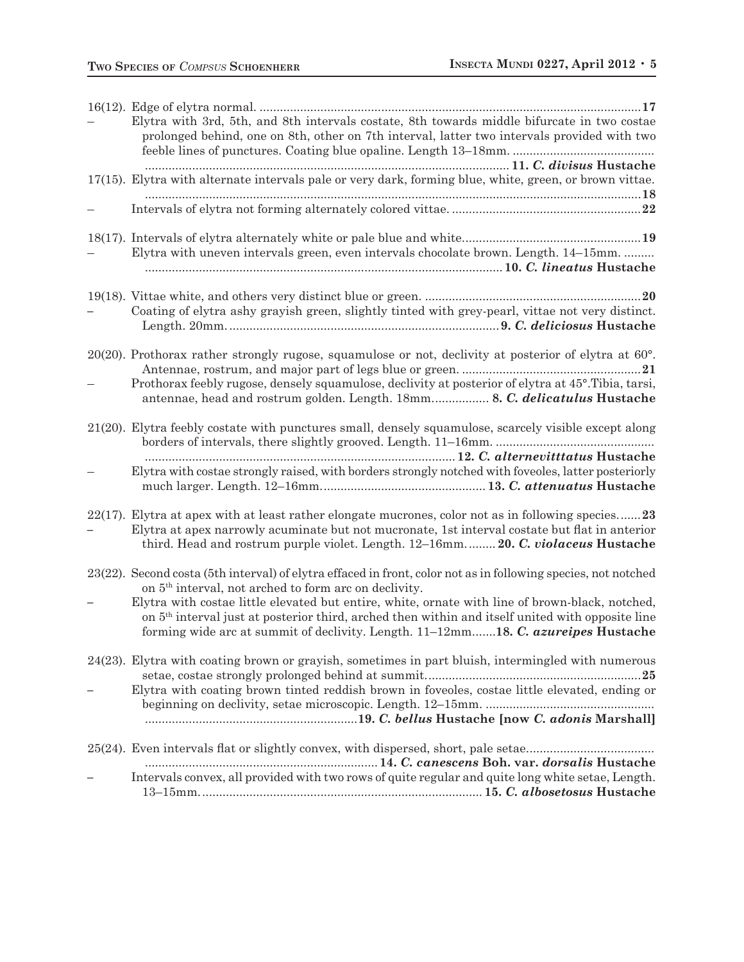| Elytra with 3rd, 5th, and 8th intervals costate, 8th towards middle bifurcate in two costae<br>prolonged behind, one on 8th, other on 7th interval, latter two intervals provided with two                                                                                                               |
|----------------------------------------------------------------------------------------------------------------------------------------------------------------------------------------------------------------------------------------------------------------------------------------------------------|
| 17(15). Elytra with alternate intervals pale or very dark, forming blue, white, green, or brown vittae.                                                                                                                                                                                                  |
|                                                                                                                                                                                                                                                                                                          |
| Elytra with uneven intervals green, even intervals chocolate brown. Length. 14–15mm.                                                                                                                                                                                                                     |
| Coating of elytra ashy grayish green, slightly tinted with grey-pearl, vittae not very distinct.                                                                                                                                                                                                         |
| $20(20)$ . Prothorax rather strongly rugose, squamulose or not, declivity at posterior of elytra at 60 $^{\circ}$ .<br>Prothorax feebly rugose, densely squamulose, declivity at posterior of elytra at 45°. Tibia, tarsi,<br>antennae, head and rostrum golden. Length. 18mm 8. C. delicatulus Hustache |
| 21(20). Elytra feebly costate with punctures small, densely squamulose, scarcely visible except along                                                                                                                                                                                                    |
| Elytra with costae strongly raised, with borders strongly notched with foveoles, latter posteriorly                                                                                                                                                                                                      |
| 22(17). Elytra at apex with at least rather elongate mucrones, color not as in following species23<br>Elytra at apex narrowly acuminate but not mucronate, 1st interval costate but flat in anterior<br>third. Head and rostrum purple violet. Length. 12–16mm 20. C. violaceus Hustache                 |
| 23(22). Second costa (5th interval) of elytra effaced in front, color not as in following species, not notched<br>on 5 <sup>th</sup> interval, not arched to form arc on declivity.                                                                                                                      |
| Elytra with costae little elevated but entire, white, ornate with line of brown-black, notched,<br>on 5 <sup>th</sup> interval just at posterior third, arched then within and itself united with opposite line<br>forming wide arc at summit of declivity. Length. 11–12mm18. C. azureipes Hustache     |
| 24(23). Elytra with coating brown or grayish, sometimes in part bluish, intermingled with numerous                                                                                                                                                                                                       |
| Elytra with coating brown tinted reddish brown in foveoles, costae little elevated, ending or                                                                                                                                                                                                            |
|                                                                                                                                                                                                                                                                                                          |
| Intervals convex, all provided with two rows of quite regular and quite long white setae, Length.                                                                                                                                                                                                        |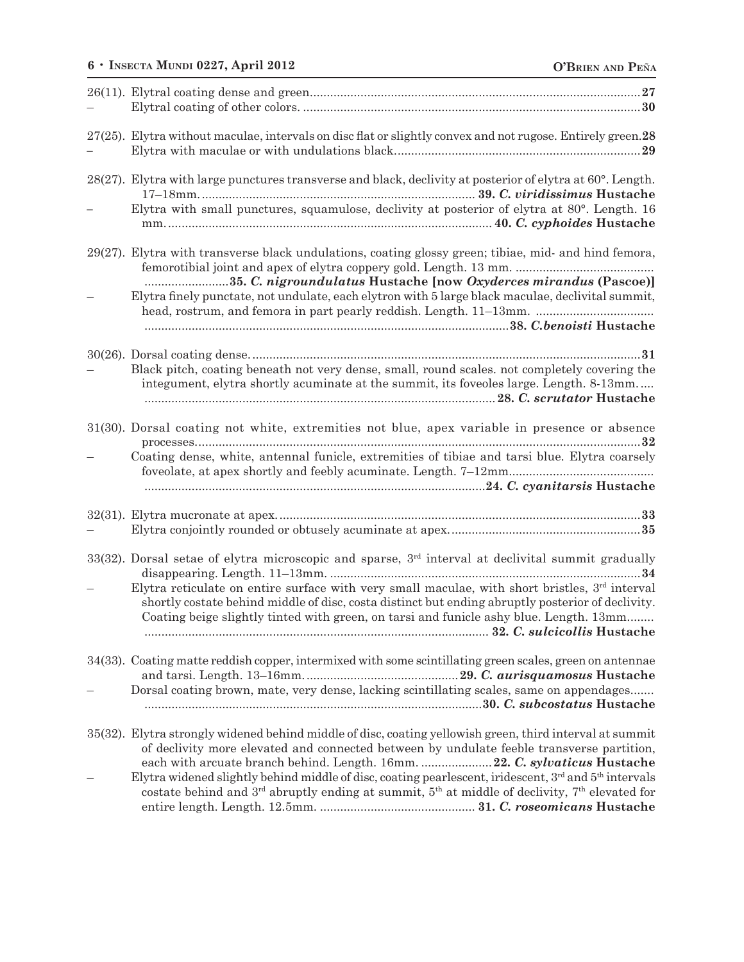## **6** • **Insecta Mundi 0227, April 2012 O'Brien and Pe**Ñ**<sup>a</sup>**

| 27(25). Elytra without maculae, intervals on disc flat or slightly convex and not rugose. Entirely green. 28                                                                                                                                                                                  |
|-----------------------------------------------------------------------------------------------------------------------------------------------------------------------------------------------------------------------------------------------------------------------------------------------|
| 28(27). Elytra with large punctures transverse and black, declivity at posterior of elytra at $60^{\circ}$ . Length.                                                                                                                                                                          |
| Elytra with small punctures, squamulose, declivity at posterior of elytra at 80°. Length. 16                                                                                                                                                                                                  |
| 29(27). Elytra with transverse black undulations, coating glossy green; tibiae, mid- and hind femora,<br>35. C. nigroundulatus Hustache [now Oxyderces mirandus (Pascoe)]                                                                                                                     |
| Elytra finely punctate, not undulate, each elytron with 5 large black maculae, declivital summit,<br>head, rostrum, and femora in part pearly reddish. Length. 11–13mm.                                                                                                                       |
|                                                                                                                                                                                                                                                                                               |
| Black pitch, coating beneath not very dense, small, round scales. not completely covering the<br>integument, elytra shortly acuminate at the summit, its foveoles large. Length. 8-13mm                                                                                                       |
| 31(30). Dorsal coating not white, extremities not blue, apex variable in presence or absence                                                                                                                                                                                                  |
| Coating dense, white, antennal funicle, extremities of tibiae and tarsi blue. Elytra coarsely                                                                                                                                                                                                 |
|                                                                                                                                                                                                                                                                                               |
| 33(32). Dorsal setae of elytra microscopic and sparse, 3rd interval at declivital summit gradually<br>34                                                                                                                                                                                      |
| Elytra reticulate on entire surface with very small maculae, with short bristles, 3rd interval<br>shortly costate behind middle of disc, costa distinct but ending abruptly posterior of declivity.<br>Coating beige slightly tinted with green, on tarsi and funicle ashy blue. Length. 13mm |
| 34(33). Coating matte reddish copper, intermixed with some scintillating green scales, green on antennae                                                                                                                                                                                      |
| Dorsal coating brown, mate, very dense, lacking scintillating scales, same on appendages                                                                                                                                                                                                      |
| 35(32). Elytra strongly widened behind middle of disc, coating yellowish green, third interval at summit<br>of declivity more elevated and connected between by undulate feeble transverse partition,<br>each with arcuate branch behind. Length. 16mm.  22. C. sylvaticus Hustache           |
| Elytra widened slightly behind middle of disc, coating pearlescent, iridescent, $3rd$ and $5th$ intervals<br>costate behind and $3^{rd}$ abruptly ending at summit, $5^{th}$ at middle of declivity, $7^{th}$ elevated for                                                                    |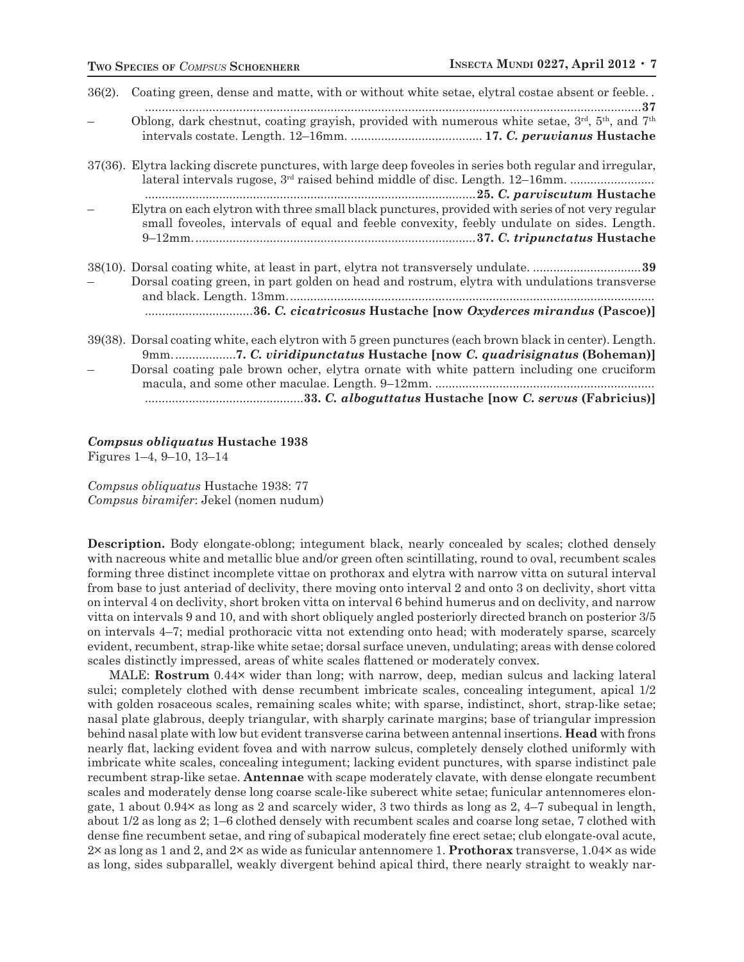| $36(2)$ . | Coating green, dense and matte, with or without white setae, elytral costae absent or feeble                                                                                                          |
|-----------|-------------------------------------------------------------------------------------------------------------------------------------------------------------------------------------------------------|
|           | Oblong, dark chestnut, coating grayish, provided with numerous white setae, $3rd$ , $5th$ , and $7th$                                                                                                 |
|           | 37(36). Elytra lacking discrete punctures, with large deep foveoles in series both regular and irregular,<br>lateral intervals rugose, 3 <sup>rd</sup> raised behind middle of disc. Length. 12–16mm. |
|           | Elytra on each elytron with three small black punctures, provided with series of not very regular<br>small foveoles, intervals of equal and feeble convexity, feebly undulate on sides. Length.       |
|           |                                                                                                                                                                                                       |
|           | Dorsal coating green, in part golden on head and rostrum, elytra with undulations transverse                                                                                                          |
|           |                                                                                                                                                                                                       |
|           | 39(38). Dorsal coating white, each elytron with 5 green punctures (each brown black in center). Length.<br>9mm7. C. viridipunctatus Hustache [now C. quadrisignatus (Boheman)]                        |
|           | Dorsal coating pale brown ocher, elytra ornate with white pattern including one cruciform                                                                                                             |
|           |                                                                                                                                                                                                       |
|           |                                                                                                                                                                                                       |

#### *Compsus obliquatus* **Hustache 1938**

Figures 1–4, 9–10, 13–14

*Compsus obliquatus* Hustache 1938: 77 *Compsus biramifer*: Jekel (nomen nudum)

**Description.** Body elongate-oblong; integument black, nearly concealed by scales; clothed densely with nacreous white and metallic blue and/or green often scintillating, round to oval, recumbent scales forming three distinct incomplete vittae on prothorax and elytra with narrow vitta on sutural interval from base to just anteriad of declivity, there moving onto interval 2 and onto 3 on declivity, short vitta on interval 4 on declivity, short broken vitta on interval 6 behind humerus and on declivity, and narrow vitta on intervals 9 and 10, and with short obliquely angled posteriorly directed branch on posterior 3/5 on intervals 4–7; medial prothoracic vitta not extending onto head; with moderately sparse, scarcely evident, recumbent, strap-like white setae; dorsal surface uneven, undulating; areas with dense colored scales distinctly impressed, areas of white scales flattened or moderately convex.

MALE: **Rostrum** 0.44× wider than long; with narrow, deep, median sulcus and lacking lateral sulci; completely clothed with dense recumbent imbricate scales, concealing integument, apical 1/2 with golden rosaceous scales, remaining scales white; with sparse, indistinct, short, strap-like setae; nasal plate glabrous, deeply triangular, with sharply carinate margins; base of triangular impression behind nasal plate with low but evident transverse carina between antennal insertions. **Head** with frons nearly flat, lacking evident fovea and with narrow sulcus, completely densely clothed uniformly with imbricate white scales, concealing integument; lacking evident punctures, with sparse indistinct pale recumbent strap-like setae. **Antennae** with scape moderately clavate, with dense elongate recumbent scales and moderately dense long coarse scale-like suberect white setae; funicular antennomeres elongate, 1 about 0.94 $\times$  as long as 2 and scarcely wider, 3 two thirds as long as 2, 4–7 subequal in length, about 1/2 as long as 2; 1–6 clothed densely with recumbent scales and coarse long setae, 7 clothed with dense fine recumbent setae, and ring of subapical moderately fine erect setae; club elongate-oval acute, 2× as long as 1 and 2, and 2× as wide as funicular antennomere 1. **Prothorax** transverse, 1.04× as wide as long, sides subparallel, weakly divergent behind apical third, there nearly straight to weakly nar-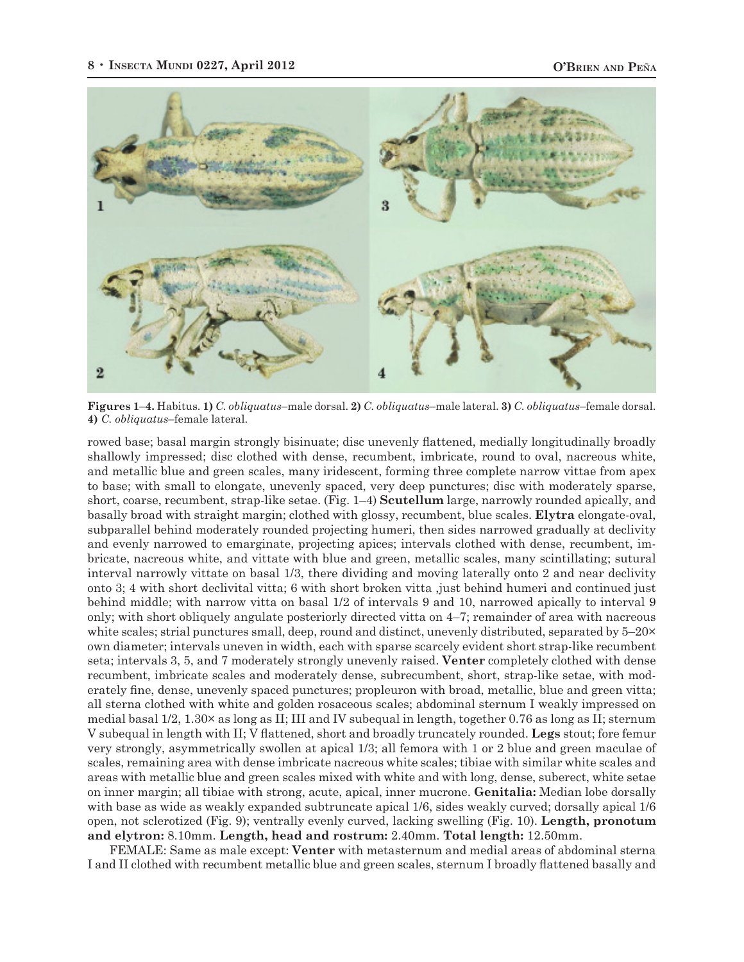

**Figures 1**–**4.** Habitus. **1)** *C. obliquatus*–male dorsal. **2)** *C. obliquatus*–male lateral. **3)** *C. obliquatus*–female dorsal. **4)** *C. obliquatus*–female lateral.

rowed base; basal margin strongly bisinuate; disc unevenly flattened, medially longitudinally broadly shallowly impressed; disc clothed with dense, recumbent, imbricate, round to oval, nacreous white, and metallic blue and green scales, many iridescent, forming three complete narrow vittae from apex to base; with small to elongate, unevenly spaced, very deep punctures; disc with moderately sparse, short, coarse, recumbent, strap-like setae. (Fig. 1–4) **Scutellum** large, narrowly rounded apically, and basally broad with straight margin; clothed with glossy, recumbent, blue scales. **Elytra** elongate-oval, subparallel behind moderately rounded projecting humeri, then sides narrowed gradually at declivity and evenly narrowed to emarginate, projecting apices; intervals clothed with dense, recumbent, imbricate, nacreous white, and vittate with blue and green, metallic scales, many scintillating; sutural interval narrowly vittate on basal 1/3, there dividing and moving laterally onto 2 and near declivity onto 3; 4 with short declivital vitta; 6 with short broken vitta ,just behind humeri and continued just behind middle; with narrow vitta on basal 1/2 of intervals 9 and 10, narrowed apically to interval 9 only; with short obliquely angulate posteriorly directed vitta on 4–7; remainder of area with nacreous white scales; strial punctures small, deep, round and distinct, unevenly distributed, separated by 5–20× own diameter; intervals uneven in width, each with sparse scarcely evident short strap-like recumbent seta; intervals 3, 5, and 7 moderately strongly unevenly raised. **Venter** completely clothed with dense recumbent, imbricate scales and moderately dense, subrecumbent, short, strap-like setae, with moderately fine, dense, unevenly spaced punctures; propleuron with broad, metallic, blue and green vitta; all sterna clothed with white and golden rosaceous scales; abdominal sternum I weakly impressed on medial basal 1/2, 1.30× as long as II; III and IV subequal in length, together 0.76 as long as II; sternum V subequal in length with II; V flattened, short and broadly truncately rounded. **Legs** stout; fore femur very strongly, asymmetrically swollen at apical 1/3; all femora with 1 or 2 blue and green maculae of scales, remaining area with dense imbricate nacreous white scales; tibiae with similar white scales and areas with metallic blue and green scales mixed with white and with long, dense, suberect, white setae on inner margin; all tibiae with strong, acute, apical, inner mucrone. **Genitalia:** Median lobe dorsally with base as wide as weakly expanded subtruncate apical 1/6, sides weakly curved; dorsally apical 1/6 open, not sclerotized (Fig. 9); ventrally evenly curved, lacking swelling (Fig. 10). **Length, pronotum and elytron:** 8.10mm. **Length, head and rostrum:** 2.40mm. **Total length:** 12.50mm.

FEMALE: Same as male except: **Venter** with metasternum and medial areas of abdominal sterna I and II clothed with recumbent metallic blue and green scales, sternum I broadly flattened basally and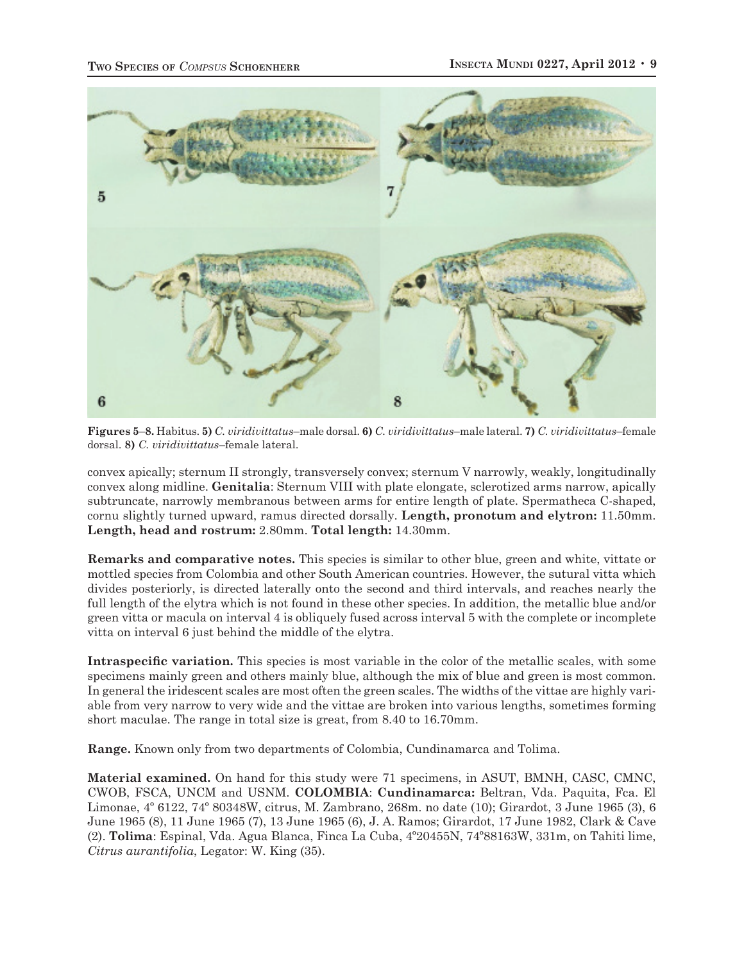

**Figures 5**–**8.** Habitus. **5)** *C. viridivittatus*–male dorsal. **6)** *C. viridivittatus*–male lateral. **7)** *C. viridivittatus*–female dorsal. **8)** *C. viridivittatus*–female lateral.

convex apically; sternum II strongly, transversely convex; sternum V narrowly, weakly, longitudinally convex along midline. **Genitalia**: Sternum VIII with plate elongate, sclerotized arms narrow, apically subtruncate, narrowly membranous between arms for entire length of plate. Spermatheca C-shaped, cornu slightly turned upward, ramus directed dorsally. **Length, pronotum and elytron:** 11.50mm. **Length, head and rostrum:** 2.80mm. **Total length:** 14.30mm.

**Remarks and comparative notes.** This species is similar to other blue, green and white, vittate or mottled species from Colombia and other South American countries. However, the sutural vitta which divides posteriorly, is directed laterally onto the second and third intervals, and reaches nearly the full length of the elytra which is not found in these other species. In addition, the metallic blue and/or green vitta or macula on interval 4 is obliquely fused across interval 5 with the complete or incomplete vitta on interval 6 just behind the middle of the elytra.

**Intraspecific variation.** This species is most variable in the color of the metallic scales, with some specimens mainly green and others mainly blue, although the mix of blue and green is most common. In general the iridescent scales are most often the green scales. The widths of the vittae are highly variable from very narrow to very wide and the vittae are broken into various lengths, sometimes forming short maculae. The range in total size is great, from 8.40 to 16.70mm.

**Range.** Known only from two departments of Colombia, Cundinamarca and Tolima.

**Material examined.** On hand for this study were 71 specimens, in ASUT, BMNH, CASC, CMNC, CWOB, FSCA, UNCM and USNM. **COLOMBIA**: **Cundinamarca:** Beltran, Vda. Paquita, Fca. El Limonae, 4º 6122, 74º 80348W, citrus, M. Zambrano, 268m. no date (10); Girardot, 3 June 1965 (3), 6 June 1965 (8), 11 June 1965 (7), 13 June 1965 (6), J. A. Ramos; Girardot, 17 June 1982, Clark & Cave (2). **Tolima**: Espinal, Vda. Agua Blanca, Finca La Cuba, 4º20455N, 74º88163W, 331m, on Tahiti lime, *Citrus aurantifolia*, Legator: W. King (35).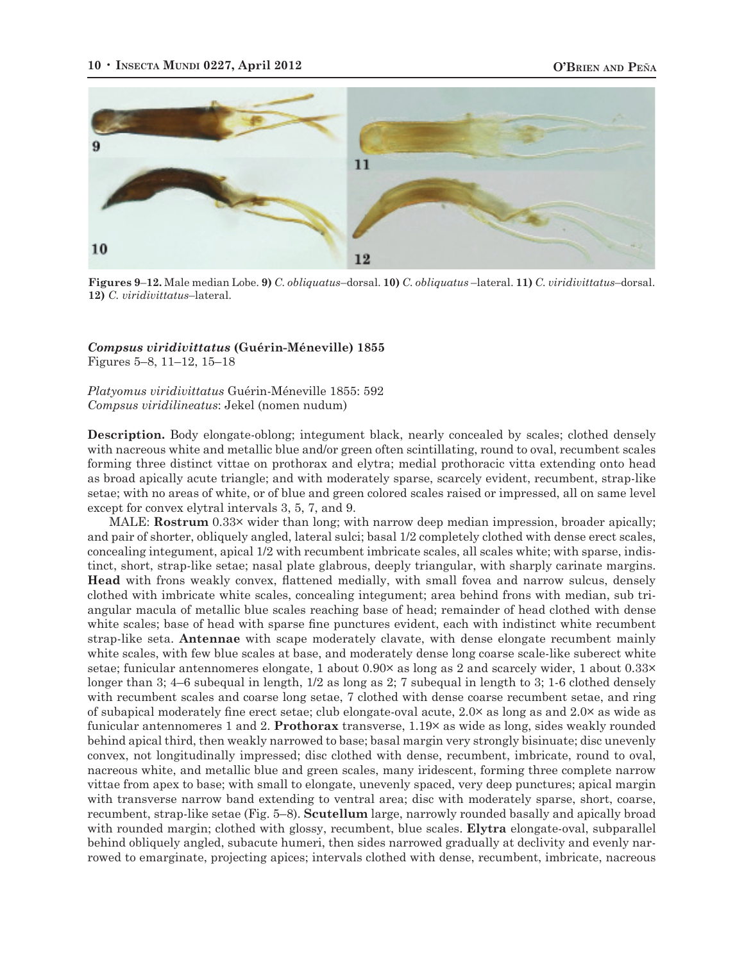

**Figures 9**–**12.** Male median Lobe. **9)** *C. obliquatus*–dorsal. **10)** *C. obliquatus* –lateral. **11)** *C. viridivittatus*–dorsal. **12)** *C. viridivittatus*–lateral.

#### *Compsus viridivittatus* **(Guérin-Méneville) 1855** Figures 5–8, 11–12, 15–18

*Platyomus viridivittatus* Guérin-Méneville 1855: 592 *Compsus viridilineatus*: Jekel (nomen nudum)

**Description.** Body elongate-oblong; integument black, nearly concealed by scales; clothed densely with nacreous white and metallic blue and/or green often scintillating, round to oval, recumbent scales forming three distinct vittae on prothorax and elytra; medial prothoracic vitta extending onto head as broad apically acute triangle; and with moderately sparse, scarcely evident, recumbent, strap-like setae; with no areas of white, or of blue and green colored scales raised or impressed, all on same level except for convex elytral intervals 3, 5, 7, and 9.

MALE: **Rostrum** 0.33× wider than long; with narrow deep median impression, broader apically; and pair of shorter, obliquely angled, lateral sulci; basal 1/2 completely clothed with dense erect scales, concealing integument, apical 1/2 with recumbent imbricate scales, all scales white; with sparse, indistinct, short, strap-like setae; nasal plate glabrous, deeply triangular, with sharply carinate margins. **Head** with frons weakly convex, flattened medially, with small fovea and narrow sulcus, densely clothed with imbricate white scales, concealing integument; area behind frons with median, sub triangular macula of metallic blue scales reaching base of head; remainder of head clothed with dense white scales; base of head with sparse fine punctures evident, each with indistinct white recumbent strap-like seta. **Antennae** with scape moderately clavate, with dense elongate recumbent mainly white scales, with few blue scales at base, and moderately dense long coarse scale-like suberect white setae; funicular antennomeres elongate, 1 about 0.90× as long as 2 and scarcely wider, 1 about 0.33× longer than 3; 4–6 subequal in length, 1/2 as long as 2; 7 subequal in length to 3; 1-6 clothed densely with recumbent scales and coarse long setae, 7 clothed with dense coarse recumbent setae, and ring of subapical moderately fine erect setae; club elongate-oval acute, 2.0× as long as and 2.0× as wide as funicular antennomeres 1 and 2. **Prothorax** transverse, 1.19× as wide as long, sides weakly rounded behind apical third, then weakly narrowed to base; basal margin very strongly bisinuate; disc unevenly convex, not longitudinally impressed; disc clothed with dense, recumbent, imbricate, round to oval, nacreous white, and metallic blue and green scales, many iridescent, forming three complete narrow vittae from apex to base; with small to elongate, unevenly spaced, very deep punctures; apical margin with transverse narrow band extending to ventral area; disc with moderately sparse, short, coarse, recumbent, strap-like setae (Fig. 5–8). **Scutellum** large, narrowly rounded basally and apically broad with rounded margin; clothed with glossy, recumbent, blue scales. **Elytra** elongate-oval, subparallel behind obliquely angled, subacute humeri, then sides narrowed gradually at declivity and evenly narrowed to emarginate, projecting apices; intervals clothed with dense, recumbent, imbricate, nacreous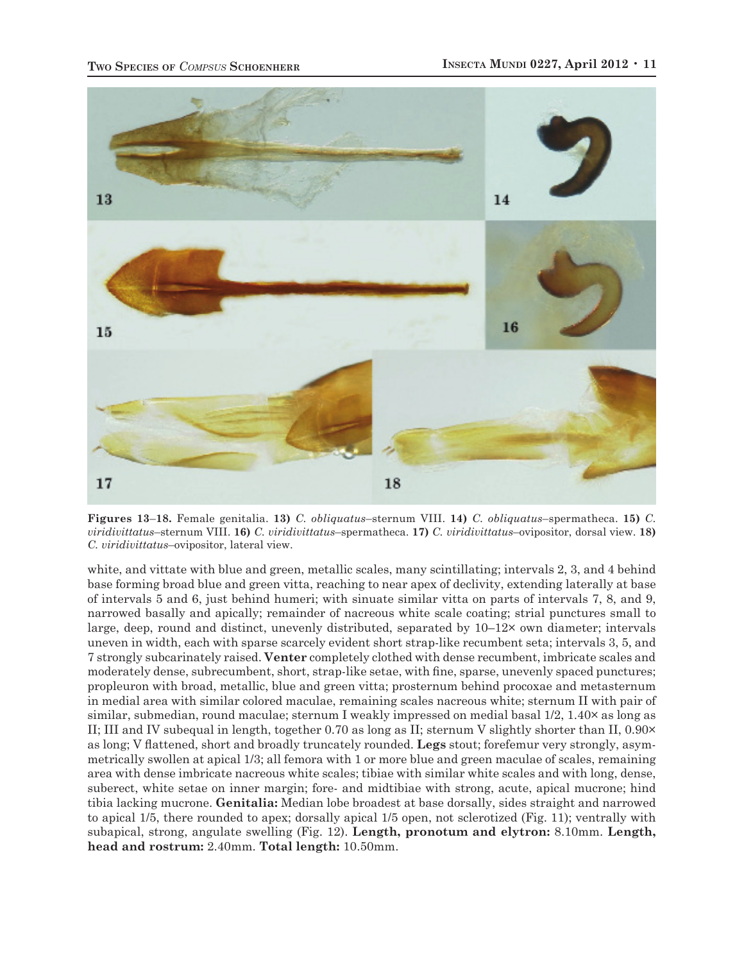

**Figures 13**–**18.** Female genitalia. **13)** *C. obliquatus*–sternum VIII. **14)** *C. obliquatus*–spermatheca. **15)** *C. viridivittatus*–sternum VIII. **16)** *C. viridivittatus*–spermatheca. **17)** *C. viridivittatus*–ovipositor, dorsal view. **18)** *C. viridivittatus*–ovipositor, lateral view.

white, and vittate with blue and green, metallic scales, many scintillating; intervals 2, 3, and 4 behind base forming broad blue and green vitta, reaching to near apex of declivity, extending laterally at base of intervals 5 and 6, just behind humeri; with sinuate similar vitta on parts of intervals 7, 8, and 9, narrowed basally and apically; remainder of nacreous white scale coating; strial punctures small to large, deep, round and distinct, unevenly distributed, separated by 10–12× own diameter; intervals uneven in width, each with sparse scarcely evident short strap-like recumbent seta; intervals 3, 5, and 7 strongly subcarinately raised. **Venter** completely clothed with dense recumbent, imbricate scales and moderately dense, subrecumbent, short, strap-like setae, with fine, sparse, unevenly spaced punctures; propleuron with broad, metallic, blue and green vitta; prosternum behind procoxae and metasternum in medial area with similar colored maculae, remaining scales nacreous white; sternum II with pair of similar, submedian, round maculae; sternum I weakly impressed on medial basal 1/2, 1.40× as long as II; III and IV subequal in length, together 0.70 as long as II; sternum V slightly shorter than II, 0.90× as long; V flattened, short and broadly truncately rounded. **Legs** stout; forefemur very strongly, asymmetrically swollen at apical 1/3; all femora with 1 or more blue and green maculae of scales, remaining area with dense imbricate nacreous white scales; tibiae with similar white scales and with long, dense, suberect, white setae on inner margin; fore- and midtibiae with strong, acute, apical mucrone; hind tibia lacking mucrone. **Genitalia:** Median lobe broadest at base dorsally, sides straight and narrowed to apical 1/5, there rounded to apex; dorsally apical 1/5 open, not sclerotized (Fig. 11); ventrally with subapical, strong, angulate swelling (Fig. 12). **Length, pronotum and elytron:** 8.10mm. **Length, head and rostrum:** 2.40mm. **Total length:** 10.50mm.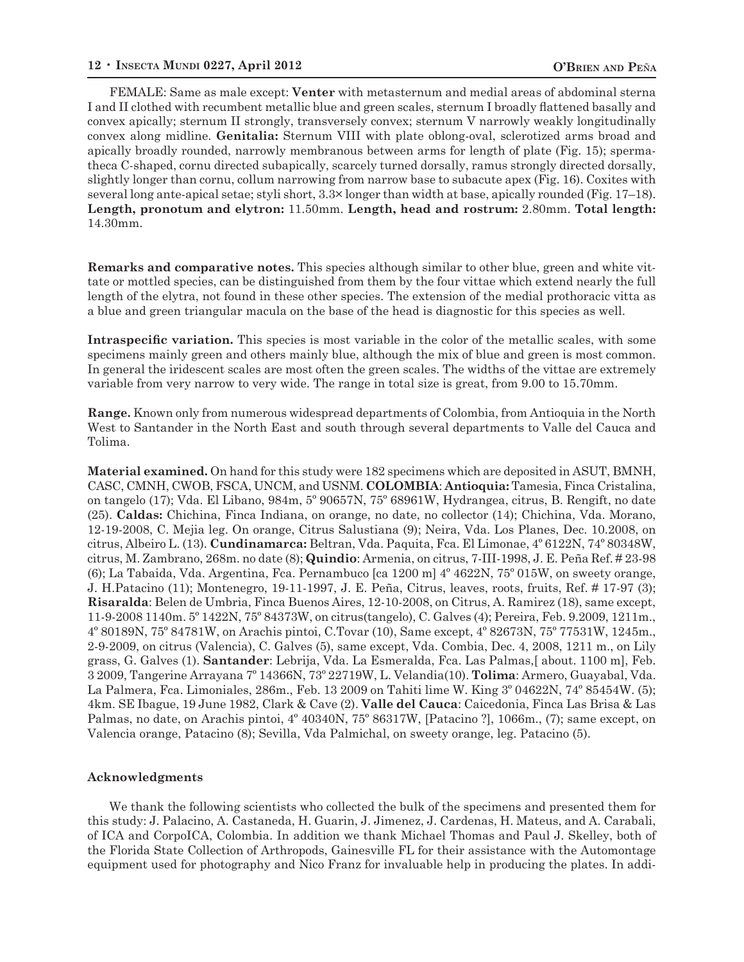FEMALE: Same as male except: **Venter** with metasternum and medial areas of abdominal sterna I and II clothed with recumbent metallic blue and green scales, sternum I broadly flattened basally and convex apically; sternum II strongly, transversely convex; sternum V narrowly weakly longitudinally convex along midline. **Genitalia:** Sternum VIII with plate oblong-oval, sclerotized arms broad and apically broadly rounded, narrowly membranous between arms for length of plate (Fig. 15); spermatheca C-shaped, cornu directed subapically, scarcely turned dorsally, ramus strongly directed dorsally, slightly longer than cornu, collum narrowing from narrow base to subacute apex (Fig. 16). Coxites with several long ante-apical setae; styli short, 3.3× longer than width at base, apically rounded (Fig. 17–18). **Length, pronotum and elytron:** 11.50mm. **Length, head and rostrum:** 2.80mm. **Total length:**  14.30mm.

**Remarks and comparative notes.** This species although similar to other blue, green and white vittate or mottled species, can be distinguished from them by the four vittae which extend nearly the full length of the elytra, not found in these other species. The extension of the medial prothoracic vitta as a blue and green triangular macula on the base of the head is diagnostic for this species as well.

**Intraspecific variation.** This species is most variable in the color of the metallic scales, with some specimens mainly green and others mainly blue, although the mix of blue and green is most common. In general the iridescent scales are most often the green scales. The widths of the vittae are extremely variable from very narrow to very wide. The range in total size is great, from 9.00 to 15.70mm.

**Range.** Known only from numerous widespread departments of Colombia, from Antioquia in the North West to Santander in the North East and south through several departments to Valle del Cauca and Tolima.

**Material examined.** On hand for this study were 182 specimens which are deposited in ASUT, BMNH, CASC, CMNH, CWOB, FSCA, UNCM, and USNM. **COLOMBIA**: **Antioquia:** Tamesia, Finca Cristalina, on tangelo (17); Vda. El Libano, 984m, 5º 90657N, 75º 68961W, Hydrangea, citrus, B. Rengift, no date (25). **Caldas:** Chichina, Finca Indiana, on orange, no date, no collector (14); Chichina, Vda. Morano, 12-19-2008, C. Mejia leg. On orange, Citrus Salustiana (9); Neira, Vda. Los Planes, Dec. 10.2008, on citrus, Albeiro L. (13). **Cundinamarca:** Beltran, Vda. Paquita, Fca. El Limonae, 4º 6122N, 74º 80348W, citrus, M. Zambrano, 268m. no date (8); **Quindio**: Armenia, on citrus, 7-III-1998, J. E. Peña Ref. # 23-98 (6); La Tabaida, Vda. Argentina, Fca. Pernambuco [ca 1200 m] 4º 4622N, 75º 015W, on sweety orange, J. H.Patacino (11); Montenegro, 19-11-1997, J. E. Peña, Citrus, leaves, roots, fruits, Ref. # 17-97 (3); **Risaralda**: Belen de Umbria, Finca Buenos Aires, 12-10-2008, on Citrus, A. Ramirez (18), same except, 11-9-2008 1140m. 5º 1422N, 75º 84373W, on citrus(tangelo), C. Galves (4); Pereira, Feb. 9.2009, 1211m., 4º 80189N, 75º 84781W, on Arachis pintoi, C.Tovar (10), Same except, 4º 82673N, 75º 77531W, 1245m., 2-9-2009, on citrus (Valencia), C. Galves (5), same except, Vda. Combia, Dec. 4, 2008, 1211 m., on Lily grass, G. Galves (1). **Santander**: Lebrija, Vda. La Esmeralda, Fca. Las Palmas,[ about. 1100 m], Feb. 3 2009, Tangerine Arrayana 7º 14366N, 73º 22719W, L. Velandia(10). **Tolima**: Armero, Guayabal, Vda. La Palmera, Fca. Limoniales, 286m., Feb. 13 2009 on Tahiti lime W. King 3º 04622N, 74º 85454W. (5); 4km. SE Ibague, 19 June 1982, Clark & Cave (2). **Valle del Cauca**: Caicedonia, Finca Las Brisa & Las Palmas, no date, on Arachis pintoi, 4º 40340N, 75º 86317W, [Patacino ?], 1066m., (7); same except, on Valencia orange, Patacino (8); Sevilla, Vda Palmichal, on sweety orange, leg. Patacino (5).

#### **Acknowledgments**

We thank the following scientists who collected the bulk of the specimens and presented them for this study: J. Palacino, A. Castaneda, H. Guarin, J. Jimenez, J. Cardenas, H. Mateus, and A. Carabali, of ICA and CorpoICA, Colombia. In addition we thank Michael Thomas and Paul J. Skelley, both of the Florida State Collection of Arthropods, Gainesville FL for their assistance with the Automontage equipment used for photography and Nico Franz for invaluable help in producing the plates. In addi